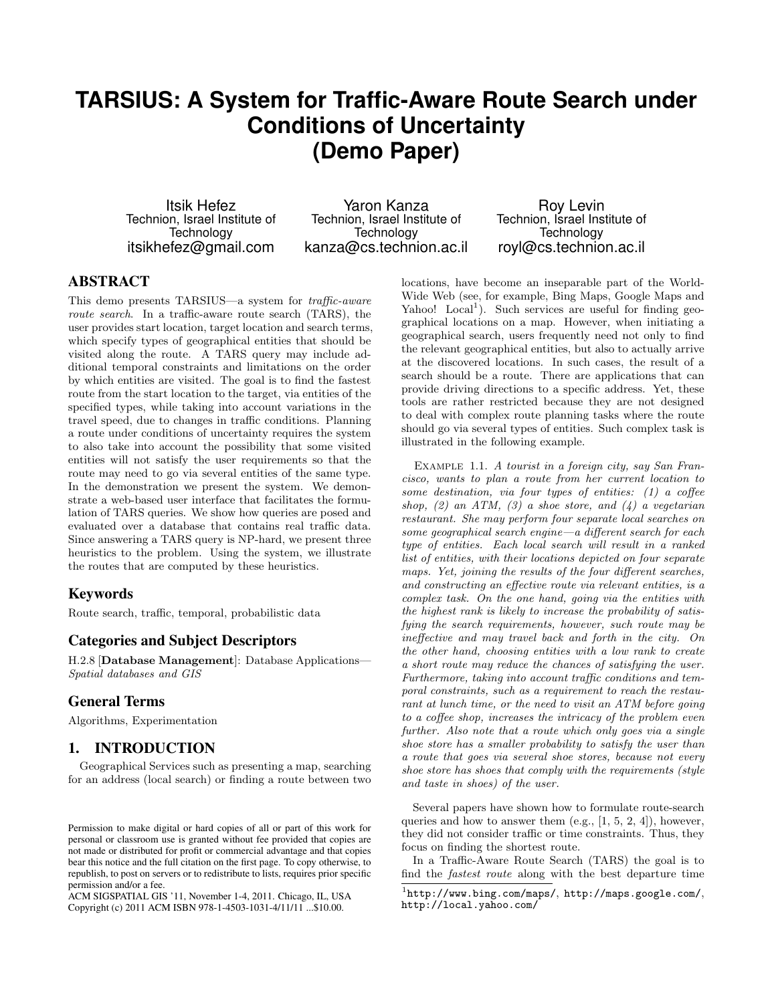# **TARSIUS: A System for Traffic-Aware Route Search under Conditions of Uncertainty (Demo Paper)**

Itsik Hefez Technion, Israel Institute of **Technology** itsikhefez@gmail.com

Yaron Kanza Technion, Israel Institute of **Technology** kanza@cs.technion.ac.il

Roy Levin Technion, Israel Institute of Technology royl@cs.technion.ac.il

# ABSTRACT

This demo presents TARSIUS—a system for traffic-aware route search. In a traffic-aware route search (TARS), the user provides start location, target location and search terms, which specify types of geographical entities that should be visited along the route. A TARS query may include additional temporal constraints and limitations on the order by which entities are visited. The goal is to find the fastest route from the start location to the target, via entities of the specified types, while taking into account variations in the travel speed, due to changes in traffic conditions. Planning a route under conditions of uncertainty requires the system to also take into account the possibility that some visited entities will not satisfy the user requirements so that the route may need to go via several entities of the same type. In the demonstration we present the system. We demonstrate a web-based user interface that facilitates the formulation of TARS queries. We show how queries are posed and evaluated over a database that contains real traffic data. Since answering a TARS query is NP-hard, we present three heuristics to the problem. Using the system, we illustrate the routes that are computed by these heuristics.

## Keywords

Route search, traffic, temporal, probabilistic data

## Categories and Subject Descriptors

H.2.8 [Database Management]: Database Applications— Spatial databases and GIS

## General Terms

Algorithms, Experimentation

# 1. INTRODUCTION

Geographical Services such as presenting a map, searching for an address (local search) or finding a route between two

ACM SIGSPATIAL GIS '11, November 1-4, 2011. Chicago, IL, USA Copyright (c) 2011 ACM ISBN 978-1-4503-1031-4/11/11 ...\$10.00.

locations, have become an inseparable part of the World-Wide Web (see, for example, Bing Maps, Google Maps and Yahoo! Local<sup>1</sup>). Such services are useful for finding geographical locations on a map. However, when initiating a geographical search, users frequently need not only to find the relevant geographical entities, but also to actually arrive at the discovered locations. In such cases, the result of a search should be a route. There are applications that can provide driving directions to a specific address. Yet, these tools are rather restricted because they are not designed to deal with complex route planning tasks where the route should go via several types of entities. Such complex task is illustrated in the following example.

Example 1.1. A tourist in a foreign city, say San Francisco, wants to plan a route from her current location to some destination, via four types of entities: (1) a coffee shop,  $(2)$  an ATM,  $(3)$  a shoe store, and  $(4)$  a vegetarian restaurant. She may perform four separate local searches on some geographical search engine—a different search for each type of entities. Each local search will result in a ranked list of entities, with their locations depicted on four separate maps. Yet, joining the results of the four different searches, and constructing an effective route via relevant entities, is a complex task. On the one hand, going via the entities with the highest rank is likely to increase the probability of satisfying the search requirements, however, such route may be ineffective and may travel back and forth in the city. On the other hand, choosing entities with a low rank to create a short route may reduce the chances of satisfying the user. Furthermore, taking into account traffic conditions and temporal constraints, such as a requirement to reach the restaurant at lunch time, or the need to visit an ATM before going to a coffee shop, increases the intricacy of the problem even further. Also note that a route which only goes via a single shoe store has a smaller probability to satisfy the user than a route that goes via several shoe stores, because not every shoe store has shoes that comply with the requirements (style and taste in shoes) of the user.

Several papers have shown how to formulate route-search queries and how to answer them  $(e.g., [1, 5, 2, 4])$ , however, they did not consider traffic or time constraints. Thus, they focus on finding the shortest route.

In a Traffic-Aware Route Search (TARS) the goal is to find the fastest route along with the best departure time

Permission to make digital or hard copies of all or part of this work for personal or classroom use is granted without fee provided that copies are not made or distributed for profit or commercial advantage and that copies bear this notice and the full citation on the first page. To copy otherwise, to republish, to post on servers or to redistribute to lists, requires prior specific permission and/or a fee.

 $1$ http://www.bing.com/maps/, http://maps.google.com/, http://local.yahoo.com/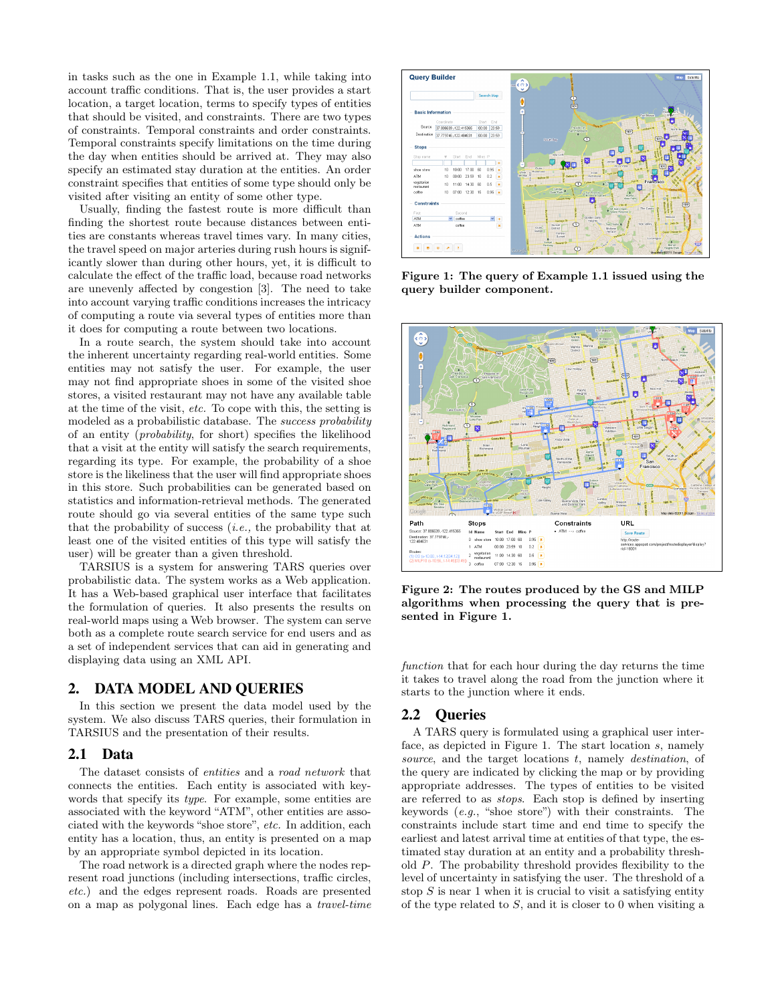in tasks such as the one in Example 1.1, while taking into account traffic conditions. That is, the user provides a start location, a target location, terms to specify types of entities that should be visited, and constraints. There are two types of constraints. Temporal constraints and order constraints. Temporal constraints specify limitations on the time during the day when entities should be arrived at. They may also specify an estimated stay duration at the entities. An order constraint specifies that entities of some type should only be visited after visiting an entity of some other type.

Usually, finding the fastest route is more difficult than finding the shortest route because distances between entities are constants whereas travel times vary. In many cities, the travel speed on major arteries during rush hours is significantly slower than during other hours, yet, it is difficult to calculate the effect of the traffic load, because road networks are unevenly affected by congestion [3]. The need to take into account varying traffic conditions increases the intricacy of computing a route via several types of entities more than it does for computing a route between two locations.

In a route search, the system should take into account the inherent uncertainty regarding real-world entities. Some entities may not satisfy the user. For example, the user may not find appropriate shoes in some of the visited shoe stores, a visited restaurant may not have any available table at the time of the visit, etc. To cope with this, the setting is modeled as a probabilistic database. The success probability of an entity (probability, for short) specifies the likelihood that a visit at the entity will satisfy the search requirements, regarding its type. For example, the probability of a shoe store is the likeliness that the user will find appropriate shoes in this store. Such probabilities can be generated based on statistics and information-retrieval methods. The generated route should go via several entities of the same type such that the probability of success  $(i.e.,$  the probability that at least one of the visited entities of this type will satisfy the user) will be greater than a given threshold.

TARSIUS is a system for answering TARS queries over probabilistic data. The system works as a Web application. It has a Web-based graphical user interface that facilitates the formulation of queries. It also presents the results on real-world maps using a Web browser. The system can serve both as a complete route search service for end users and as a set of independent services that can aid in generating and displaying data using an XML API.

## 2. DATA MODEL AND QUERIES

In this section we present the data model used by the system. We also discuss TARS queries, their formulation in TARSIUS and the presentation of their results.

#### 2.1 Data

The dataset consists of entities and a road network that connects the entities. Each entity is associated with keywords that specify its type. For example, some entities are associated with the keyword "ATM", other entities are associated with the keywords "shoe store", etc. In addition, each entity has a location, thus, an entity is presented on a map by an appropriate symbol depicted in its location.

The road network is a directed graph where the nodes represent road junctions (including intersections, traffic circles, etc.) and the edges represent roads. Roads are presented on a map as polygonal lines. Each edge has a travel-time



Figure 1: The query of Example 1.1 issued using the query builder component.



Figure 2: The routes produced by the GS and MILP algorithms when processing the query that is presented in Figure 1.

function that for each hour during the day returns the time it takes to travel along the road from the junction where it starts to the junction where it ends.

## 2.2 Queries

A TARS query is formulated using a graphical user interface, as depicted in Figure 1. The start location s, namely source, and the target locations t, namely destination, of the query are indicated by clicking the map or by providing appropriate addresses. The types of entities to be visited are referred to as stops. Each stop is defined by inserting keywords (e.g., "shoe store") with their constraints. The constraints include start time and end time to specify the earliest and latest arrival time at entities of that type, the estimated stay duration at an entity and a probability threshold P. The probability threshold provides flexibility to the level of uncertainty in satisfying the user. The threshold of a stop  $S$  is near 1 when it is crucial to visit a satisfying entity of the type related to  $S$ , and it is closer to 0 when visiting a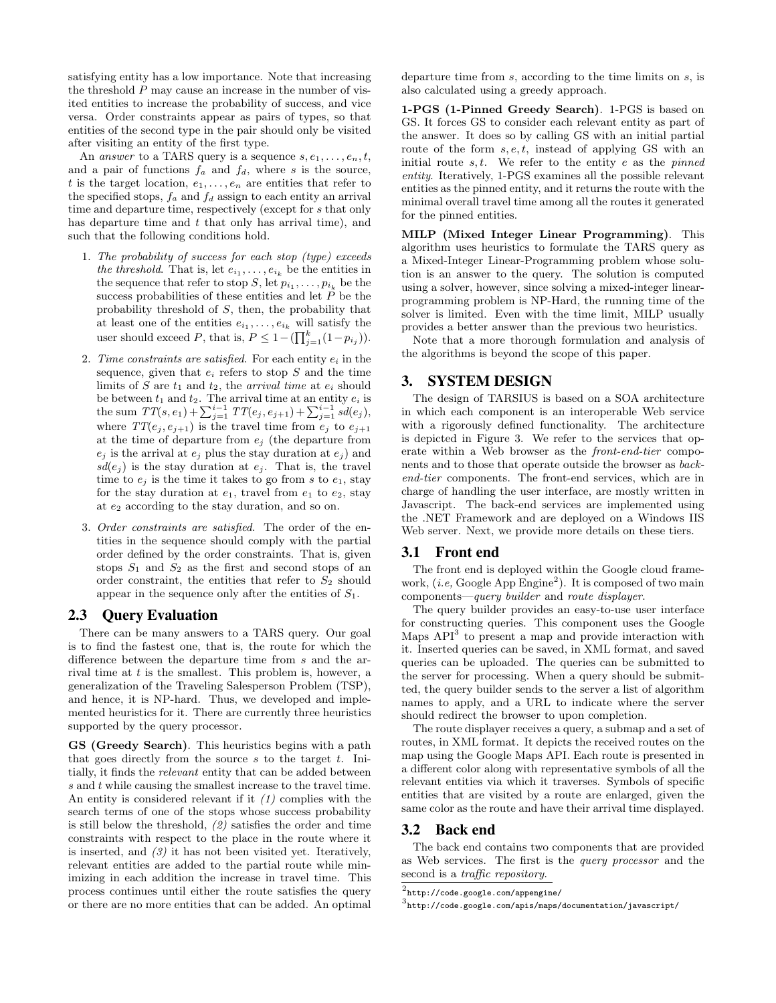satisfying entity has a low importance. Note that increasing the threshold  $P$  may cause an increase in the number of visited entities to increase the probability of success, and vice versa. Order constraints appear as pairs of types, so that entities of the second type in the pair should only be visited after visiting an entity of the first type.

An answer to a TARS query is a sequence  $s, e_1, \ldots, e_n, t$ , and a pair of functions  $f_a$  and  $f_d$ , where s is the source, t is the target location,  $e_1, \ldots, e_n$  are entities that refer to the specified stops,  $f_a$  and  $f_d$  assign to each entity an arrival time and departure time, respectively (except for s that only has departure time and  $t$  that only has arrival time), and such that the following conditions hold.

- 1. The probability of success for each stop (type) exceeds the threshold. That is, let  $e_{i_1}, \ldots, e_{i_k}$  be the entities in the sequence that refer to stop S, let  $p_{i_1}, \ldots, p_{i_k}$  be the success probabilities of these entities and let P be the probability threshold of S, then, the probability that at least one of the entities  $e_{i_1}, \ldots, e_{i_k}$  will satisfy the user should exceed P, that is,  $P \leq 1 - (\prod_{j=1}^{k} (1 - p_{i_j})).$
- 2. Time constraints are satisfied. For each entity  $e_i$  in the sequence, given that  $e_i$  refers to stop  $S$  and the time limits of S are  $t_1$  and  $t_2$ , the *arrival time* at  $e_i$  should be between  $t_1$  and  $t_2$ . The arrival time at an entity  $e_i$  is the sum  $TT(s, e_1) + \sum_{j=1}^{i-1} TT(e_j, e_{j+1}) + \sum_{j=1}^{i-1} sd(e_j),$ where  $TT(e_i, e_{i+1})$  is the travel time from  $e_i$  to  $e_{i+1}$ at the time of departure from  $e_i$  (the departure from  $e_j$  is the arrival at  $e_j$  plus the stay duration at  $e_j$ ) and  $sd(e_i)$  is the stay duration at  $e_i$ . That is, the travel time to  $e_i$  is the time it takes to go from s to  $e_1$ , stay for the stay duration at  $e_1$ , travel from  $e_1$  to  $e_2$ , stay at e<sup>2</sup> according to the stay duration, and so on.
- 3. Order constraints are satisfied. The order of the entities in the sequence should comply with the partial order defined by the order constraints. That is, given stops  $S_1$  and  $S_2$  as the first and second stops of an order constraint, the entities that refer to  $S_2$  should appear in the sequence only after the entities of  $S_1$ .

## 2.3 Query Evaluation

There can be many answers to a TARS query. Our goal is to find the fastest one, that is, the route for which the difference between the departure time from s and the arrival time at  $t$  is the smallest. This problem is, however, a generalization of the Traveling Salesperson Problem (TSP), and hence, it is NP-hard. Thus, we developed and implemented heuristics for it. There are currently three heuristics supported by the query processor.

GS (Greedy Search). This heuristics begins with a path that goes directly from the source  $s$  to the target  $t$ . Initially, it finds the relevant entity that can be added between s and t while causing the smallest increase to the travel time. An entity is considered relevant if it  $(1)$  complies with the search terms of one of the stops whose success probability is still below the threshold, (2) satisfies the order and time constraints with respect to the place in the route where it is inserted, and  $(3)$  it has not been visited yet. Iteratively, relevant entities are added to the partial route while minimizing in each addition the increase in travel time. This process continues until either the route satisfies the query or there are no more entities that can be added. An optimal

departure time from s, according to the time limits on s, is also calculated using a greedy approach.

1-PGS (1-Pinned Greedy Search). 1-PGS is based on GS. It forces GS to consider each relevant entity as part of the answer. It does so by calling GS with an initial partial route of the form  $s, e, t$ , instead of applying GS with an initial route  $s, t$ . We refer to the entity  $e$  as the *pinned* entity. Iteratively, 1-PGS examines all the possible relevant entities as the pinned entity, and it returns the route with the minimal overall travel time among all the routes it generated for the pinned entities.

MILP (Mixed Integer Linear Programming). This algorithm uses heuristics to formulate the TARS query as a Mixed-Integer Linear-Programming problem whose solution is an answer to the query. The solution is computed using a solver, however, since solving a mixed-integer linearprogramming problem is NP-Hard, the running time of the solver is limited. Even with the time limit, MILP usually provides a better answer than the previous two heuristics.

Note that a more thorough formulation and analysis of the algorithms is beyond the scope of this paper.

#### 3. SYSTEM DESIGN

The design of TARSIUS is based on a SOA architecture in which each component is an interoperable Web service with a rigorously defined functionality. The architecture is depicted in Figure 3. We refer to the services that operate within a Web browser as the front-end-tier components and to those that operate outside the browser as backend-tier components. The front-end services, which are in charge of handling the user interface, are mostly written in Javascript. The back-end services are implemented using the .NET Framework and are deployed on a Windows IIS Web server. Next, we provide more details on these tiers.

#### 3.1 Front end

The front end is deployed within the Google cloud framework,  $(i.e. Gogle App Engine<sup>2</sup>)$ . It is composed of two main components—query builder and route displayer.

The query builder provides an easy-to-use user interface for constructing queries. This component uses the Google Maps API<sup>3</sup> to present a map and provide interaction with it. Inserted queries can be saved, in XML format, and saved queries can be uploaded. The queries can be submitted to the server for processing. When a query should be submitted, the query builder sends to the server a list of algorithm names to apply, and a URL to indicate where the server should redirect the browser to upon completion.

The route displayer receives a query, a submap and a set of routes, in XML format. It depicts the received routes on the map using the Google Maps API. Each route is presented in a different color along with representative symbols of all the relevant entities via which it traverses. Symbols of specific entities that are visited by a route are enlarged, given the same color as the route and have their arrival time displayed.

#### 3.2 Back end

The back end contains two components that are provided as Web services. The first is the query processor and the second is a traffic repository.

 $^2$ http://code.google.com/appengine/

 $^3$ http://code.google.com/apis/maps/documentation/javascript/